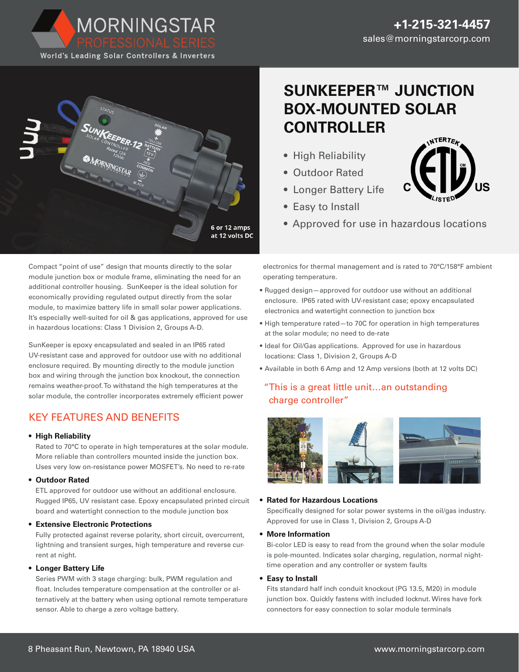



# **SUNKEEPER™ JUNCTION BOX-MOUNTED SOLAR CONTROLLER**

- High Reliability
- Outdoor Rated
- Longer Battery Life
- Easy to Install
- Approved for use in hazardous locations

Compact "point of use" design that mounts directly to the solar module junction box or module frame, eliminating the need for an additional controller housing. SunKeeper is the ideal solution for economically providing regulated output directly from the solar module, to maximize battery life in small solar power applications. It's especially well-suited for oil & gas applications, approved for use in hazardous locations: Class 1 Division 2, Groups A-D.

SunKeeper is epoxy encapsulated and sealed in an IP65 rated UV-resistant case and approved for outdoor use with no additional enclosure required. By mounting directly to the module junction box and wiring through the junction box knockout, the connection remains weather-proof. To withstand the high temperatures at the solar module, the controller incorporates extremely efficient power

# KEY FEATURES AND BENEFITS

# **• High Reliability**

Rated to 70°C to operate in high temperatures at the solar module. More reliable than controllers mounted inside the junction box. Uses very low on-resistance power MOSFET's. No need to re-rate

# **• Outdoor Rated**

ETL approved for outdoor use without an additional enclosure. Rugged IP65, UV resistant case. Epoxy encapsulated printed circuit board and watertight connection to the module junction box

# **• Extensive Electronic Protections**

Fully protected against reverse polarity, short circuit, overcurrent, lightning and transient surges, high temperature and reverse current at night.

# **• Longer Battery Life**

Series PWM with 3 stage charging: bulk, PWM regulation and float. Includes temperature compensation at the controller or alternatively at the battery when using optional remote temperature sensor. Able to charge a zero voltage battery.

electronics for thermal management and is rated to 70°C/158°F ambient operating temperature.

- Rugged design—approved for outdoor use without an additional enclosure. IP65 rated with UV-resistant case; epoxy encapsulated electronics and watertight connection to junction box
- High temperature rated—to 70C for operation in high temperatures at the solar module; no need to de-rate
- Ideal for Oil/Gas applications. Approved for use in hazardous locations: Class 1, Division 2, Groups A-D
- Available in both 6 Amp and 12 Amp versions (both at 12 volts DC)

# "This is a great little unit…an outstanding charge controller"



# **• Rated for Hazardous Locations**

Specifically designed for solar power systems in the oil/gas industry. Approved for use in Class 1, Division 2, Groups A-D

# **• More Information**

Bi-color LED is easy to read from the ground when the solar module is pole-mounted. Indicates solar charging, regulation, normal nighttime operation and any controller or system faults

# **• Easy to Install**

Fits standard half inch conduit knockout (PG 13.5, M20) in module junction box. Quickly fastens with included locknut. Wires have fork connectors for easy connection to solar module terminals